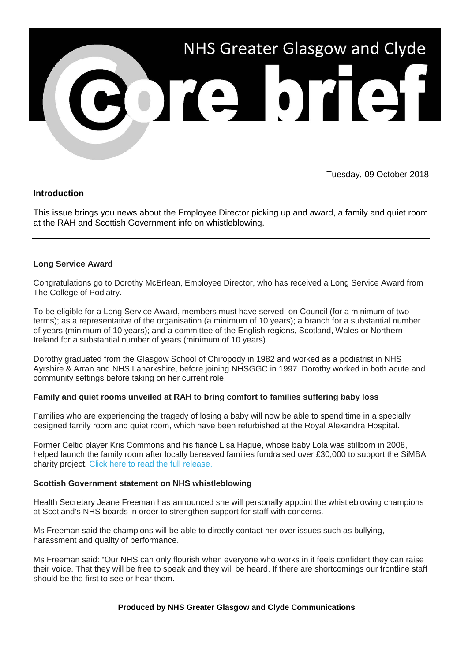

Tuesday, 09 October 2018

# **Introduction**

This issue brings you news about the Employee Director picking up and award, a family and quiet room at the RAH and Scottish Government info on whistleblowing.

## **Long Service Award**

Congratulations go to Dorothy McErlean, Employee Director, who has received a Long Service Award from The College of Podiatry.

To be eligible for a Long Service Award, members must have served: on Council (for a minimum of two terms); as a representative of the organisation (a minimum of 10 years); a branch for a substantial number of years (minimum of 10 years); and a committee of the English regions, Scotland, Wales or Northern Ireland for a substantial number of years (minimum of 10 years).

Dorothy graduated from the Glasgow School of Chiropody in 1982 and worked as a podiatrist in NHS Ayrshire & Arran and NHS Lanarkshire, before joining NHSGGC in 1997. Dorothy worked in both acute and community settings before taking on her current role.

## **Family and quiet rooms unveiled at RAH to bring comfort to families suffering baby loss**

Families who are experiencing the tragedy of losing a baby will now be able to spend time in a specially designed family room and quiet room, which have been refurbished at the Royal Alexandra Hospital.

Former Celtic player Kris Commons and his fiancé Lisa Hague, whose baby Lola was stillborn in 2008, helped launch the family room after locally bereaved families fundraised over £30,000 to support the SiMBA charity project. Click [here to read the full release.](https://nhsggc.us12.list-manage.com/track/click?u=0f385b5aea37eaf0213bd19fb&id=178a79f01f&e=5af5e1832c) 

## **Scottish Government statement on NHS whistleblowing**

Health Secretary Jeane Freeman has announced she will personally appoint the whistleblowing champions at Scotland's NHS boards in order to strengthen support for staff with concerns.

Ms Freeman said the champions will be able to directly contact her over issues such as bullying, harassment and quality of performance.

Ms Freeman said: "Our NHS can only flourish when everyone who works in it feels confident they can raise their voice. That they will be free to speak and they will be heard. If there are shortcomings our frontline staff should be the first to see or hear them.

## **Produced by NHS Greater Glasgow and Clyde Communications**